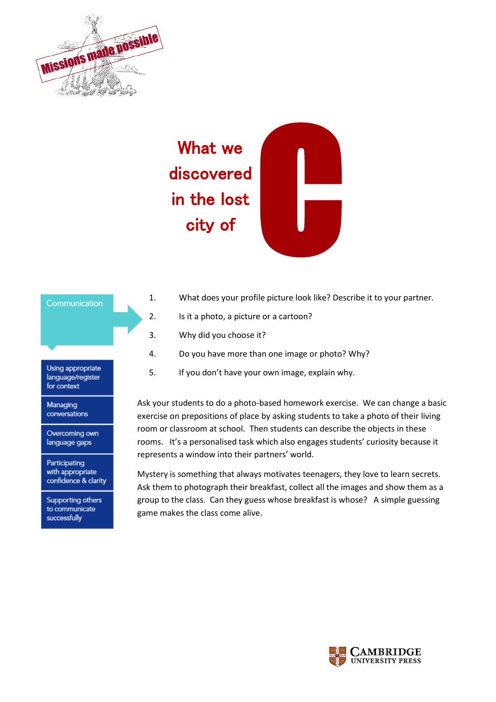

# C What we discovered in the lost city of

# 1. What does your profile picture look like? Describe it to your partner.

- 2. Is it a photo, a picture or a cartoon?
- 3. Why did you choose it?
- 4. Do you have more than one image or photo? Why?
- 5. If you don't have your own image, explain why.

Ask your students to do a photo-based homework exercise. We can change a basic exercise on prepositions of place by asking students to take a photo of their living room or classroom at school. Then students can describe the objects in these rooms. It's a personalised task which also engages students' curiosity because it represents a window into their partners' world.

Mystery is something that always motivates teenagers, they love to learn secrets. Ask them to photograph their breakfast, collect all the images and show them as a group to the class. Can they guess whose breakfast is whose? A simple guessing game makes the class come alive.



Communication

Managing conversations

for context

Overcoming own language gaps

Participating with appropriate confidence & clarity

**Supporting others** to communicate successfully

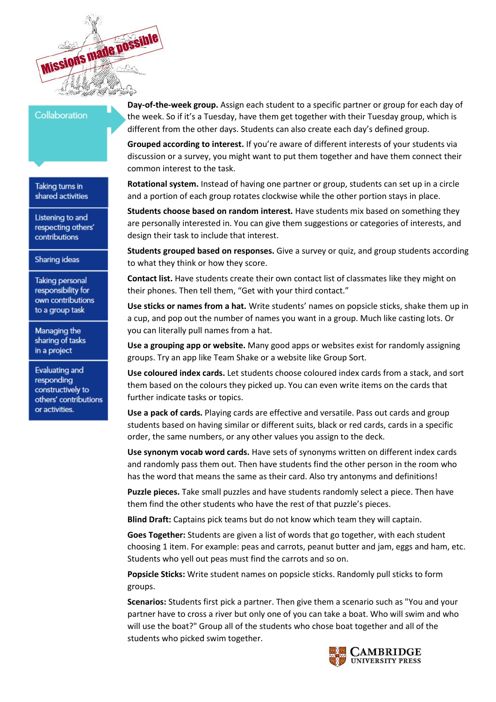

# Collaboration

Taking turns in shared activities

Listening to and respecting others' contributions

Sharing ideas

**Taking personal** responsibility for own contributions to a group task

Managing the sharing of tasks in a project

Evaluating and responding constructively to others' contributions or activities.

**Day-of-the-week group.** Assign each student to a specific partner or group for each day of the week. So if it's a Tuesday, have them get together with their Tuesday group, which is different from the other days. Students can also create each day's defined group.

**Grouped according to interest.** If you're aware of different interests of your students via discussion or a survey, you might want to put them together and have them connect their common interest to the task.

**Rotational system.** Instead of having one partner or group, students can set up in a circle and a portion of each group rotates clockwise while the other portion stays in place.

**Students choose based on random interest.** Have students mix based on something they are personally interested in. You can give them suggestions or categories of interests, and design their task to include that interest.

**Students grouped based on responses.** Give a survey or quiz, and group students according to what they think or how they score.

**Contact list.** Have students create their own contact list of classmates like they might on their phones. Then tell them, "Get with your third contact."

**Use sticks or names from a hat.** Write students' names on popsicle sticks, shake them up in a cup, and pop out the number of names you want in a group. Much like casting lots. Or you can literally pull names from a hat.

**Use a grouping app or website.** Many good apps or websites exist for randomly assigning groups. Try an app like Team Shake or a website like [Group Sort.](http://www.groupsort.com/)

**Use coloured index cards.** Let students choose coloured index cards from a stack, and sort them based on the colours they picked up. You can even write items on the cards that further indicate tasks or topics.

**Use a pack of cards.** Playing cards are effective and versatile. Pass out cards and group students based on having similar or different suits, black or red cards, cards in a specific order, the same numbers, or any other values you assign to the deck.

**Use synonym vocab word cards.** Have sets of synonyms written on different index cards and randomly pass them out. Then have students find the other person in the room who has the word that means the same as their card. Also try antonyms and definitions!

**Puzzle pieces.** Take small puzzles and have students randomly select a piece. Then have them find the other students who have the rest of that puzzle's pieces.

**Blind Draft:** Captains pick teams but do not know which team they will captain.

**Goes Together:** Students are given a list of words that go together, with each student choosing 1 item. For example: peas and carrots, peanut butter and jam, eggs and ham, etc. Students who yell out peas must find the carrots and so on.

**Popsicle Sticks:** Write student names on popsicle sticks. Randomly pull sticks to form groups.

**Scenarios:** Students first pick a partner. Then give them a scenario such as "You and your partner have to cross a river but only one of you can take a boat. Who will swim and who will use the boat?" Group all of the students who chose boat together and all of the students who picked swim together.

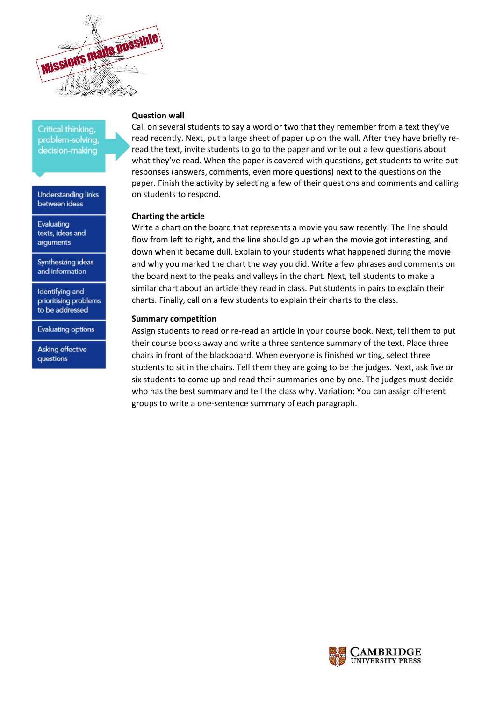

Critical thinking. problem-solvina, decision-making

**Understanding links** between ideas

Evaluating texts, ideas and arguments

Synthesizing ideas and information

Identifying and prioritising problems to be addressed

**Evaluating options** 

Asking effective questions

## **Question wall**

Call on several students to say a word or two that they remember from a text they've read recently. Next, put a large sheet of paper up on the wall. After they have briefly reread the text, invite students to go to the paper and write out a few questions about what they've read. When the paper is covered with questions, get students to write out responses (answers, comments, even more questions) next to the questions on the paper. Finish the activity by selecting a few of their questions and comments and calling on students to respond.

#### **Charting the article**

Write a chart on the board that represents a movie you saw recently. The line should flow from left to right, and the line should go up when the movie got interesting, and down when it became dull. Explain to your students what happened during the movie and why you marked the chart the way you did. Write a few phrases and comments on the board next to the peaks and valleys in the chart. Next, tell students to make a similar chart about an article they read in class. Put students in pairs to explain their charts. Finally, call on a few students to explain their charts to the class.

#### **Summary competition**

Assign students to read or re-read an article in your course book. Next, tell them to put their course books away and write a three sentence summary of the text. Place three chairs in front of the blackboard. When everyone is finished writing, select three students to sit in the chairs. Tell them they are going to be the judges. Next, ask five or six students to come up and read their summaries one by one. The judges must decide who has the best summary and tell the class why. Variation: You can assign different groups to write a one-sentence summary of each paragraph.

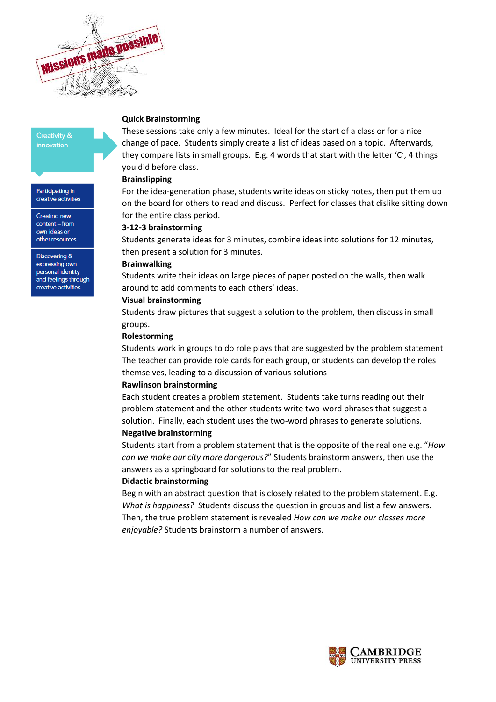

#### **Creativity &** innovation

Participating in creative activities

Creating new content - from own ideas or other resources

Discovering & expressing own personal identity and feelings through creative activities

## **Quick Brainstorming**

These sessions take only a few minutes. Ideal for the start of a class or for a nice change of pace. Students simply create a list of ideas based on a topic. Afterwards, they compare lists in small groups. E.g. 4 words that start with the letter 'C', 4 things you did before class.

## **Brainslipping**

For the idea-generation phase, students write ideas on sticky notes, then put them up on the board for others to read and discuss. Perfect for classes that dislike sitting down for the entire class period.

## **3-12-3 brainstorming**

Students generate ideas for 3 minutes, combine ideas into solutions for 12 minutes, then present a solution for 3 minutes.

## **Brainwalking**

Students write their ideas on large pieces of paper posted on the walls, then walk around to add comments to each others' ideas.

# **Visual brainstorming**

Students draw pictures that suggest a solution to the problem, then discuss in small groups.

## **Rolestorming**

Students work in groups to do role plays that are suggested by the problem statement The teacher can provide role cards for each group, or students can develop the roles themselves, leading to a discussion of various solutions

# **Rawlinson brainstorming**

Each student creates a problem statement. Students take turns reading out their problem statement and the other students write two-word phrases that suggest a solution. Finally, each student uses the two-word phrases to generate solutions.

# **Negative brainstorming**

Students start from a problem statement that is the opposite of the real one e.g. "*How can we make our city more dangerous?*" Students brainstorm answers, then use the answers as a springboard for solutions to the real problem.

# **Didactic brainstorming**

Begin with an abstract question that is closely related to the problem statement. E.g. *What is happiness?* Students discuss the question in groups and list a few answers. Then, the true problem statement is revealed *How can we make our classes more enjoyable?* Students brainstorm a number of answers.

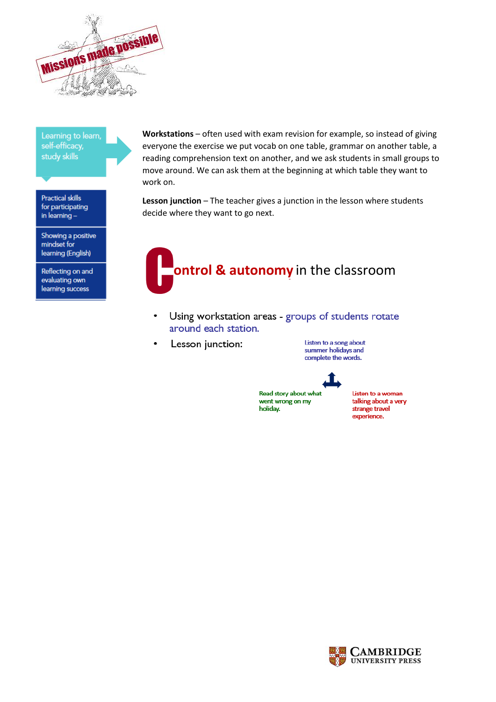

Learning to learn, self-efficacy, study skills

**Practical skills** for participating in learning-

Showing a positive mindset for learning (English)

Reflecting on and evaluating own learning success

Workstations - often used with exam revision for example, so instead of giving everyone the exercise we put vocab on one table, grammar on another table, a reading comprehension text on another, and we ask students in small groups to move around. We can ask them at the beginning at which table they want to work on.

Lesson junction - The teacher gives a junction in the lesson where students decide where they want to go next.



- Using workstation areas groups of students rotate around each station.
- Lesson junction:  $\bullet$

Listen to a song about summer holidays and complete the words.



Read story about what went wrong on my holiday.

Listen to a woman talking about a very strange travel experience.

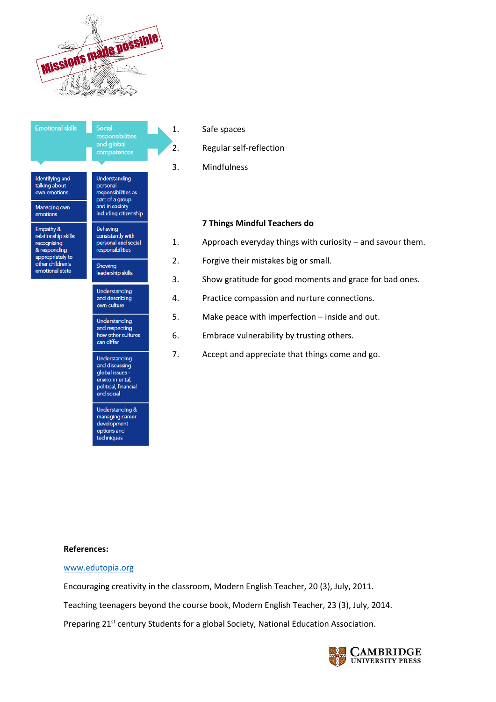



#### 1. Safe spaces

2. Regular self-reflection

3. Mindfulness

## **7 Things Mindful Teachers do**

- 1. Approach everyday things with curiosity and savour them.
- 2. Forgive their mistakes big or small.
- 3. Show gratitude for good moments and grace for bad ones.
- 4. Practice compassion and nurture connections.
- 5. Make peace with imperfection inside and out.
- 6. Embrace vulnerability by trusting others.
- 7. Accept and appreciate that things come and go.

## **References:**

## [www.edutopia.org](http://www.edutopia.org/)

Encouraging creativity in the classroom, Modern English Teacher, 20 (3), July, 2011.

Teaching teenagers beyond the course book, Modern English Teacher, 23 (3), July, 2014.

Preparing 21<sup>st</sup> century Students for a global Society, National Education Association.